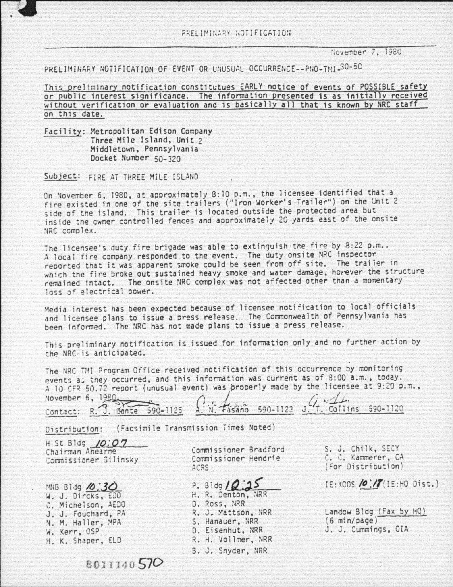'iGI&:lOe,. *7,* l9SG

PRELIMINARY NOTIFICATION OF EVENT OR UNUSUAL OCCURRENCE--PNO-TMI-30-50

This preliminary notification constitutues EARLY notice of events of POSSIBLE safety or public interest significance. The information presented is as initially received without verification or evaluation and is basicallv all that is known by NRC staff on this date.

Facility: Metropolitan Edison Company Three Mile Island, Unit 2 Middletown. Pennsylvania Docket Number 50-320

Subject: FIRE AT THREE MILE ISLAND

On November 6, 1980, at approximately 8:10 p.m., the licensee identified that a fire existed in one of the site trailers ("Iron Worker's Trailer") on the Unit 2 side of the island. This trailer is located outside the protected area but inside the cwner controlled fences and aoorox imate ly 20 yards east of the onsite IRC complex.

The licensee's duty fire brigade was able to extinguish the fire by  $8:22$  p.m.. A local fire company responded to the event. The duty onsite NRC inspector reported that it was apparent smoke could be seen from off site. The traiier in which the fire broke out sustained heavy smoke and water damage, however the structure remained intact. The onsite NRC complex was not affected other than a momentary loss of electrical power.

Media interest has been expected because of licensee notification to local officials and licensee plans to issue a press release. The Commonwealth of Pennsylvania has been informed. The NRC has not made plans to issue a press release.

This preliminary notification is issued for information only and no further action by the NRC is anticipated.

The NRC TMI Program Office received notification of this occurrence by monitoring events as they occurred, and this information was current as of 8:00 a.m., today.

A 10 CFR 50.72 report (unusual event) was properly made by the licensee at 9:20 p.m.,<br>November 6, 1980 rontact: R. J. Conte 590-1125 A. N. Fasano 590-1123 J. 1. Collins 590-1120

Distribution: (Facsimile Transmission Times Noted)

H St Blog *10:07* Chairman Ahearne Commissioner Gi linsky

:4NB Bldg **/o:30** W. J. Dircks, EDD C. Michelson, AEDO J. J. Fouchard, PA N. M. Haller, MPA W. Kerr, OSP H. K. Shaoer, ELD

Commissioner Bradforo Commissioner Hendrie ~CRS

**P. 31dg / Q.25** 

D. Ross, NRR R. J. Mattson, NRR S. Hanauer, NRR D. Eisenhut, NRR R. H. Vollmer, NRR 8. J. Snyder, NRR

S. J. Chilk, SECY C. C. Y.ammerer, CA (For Distribution)

 $IE: XCOS$  /0:///iE:HQ Dist.)

Landow Bldg (Fax by HQ)  $(6 \text{ min}/\text{page})$ J. J. Cummi ngs, OIA

8011140570